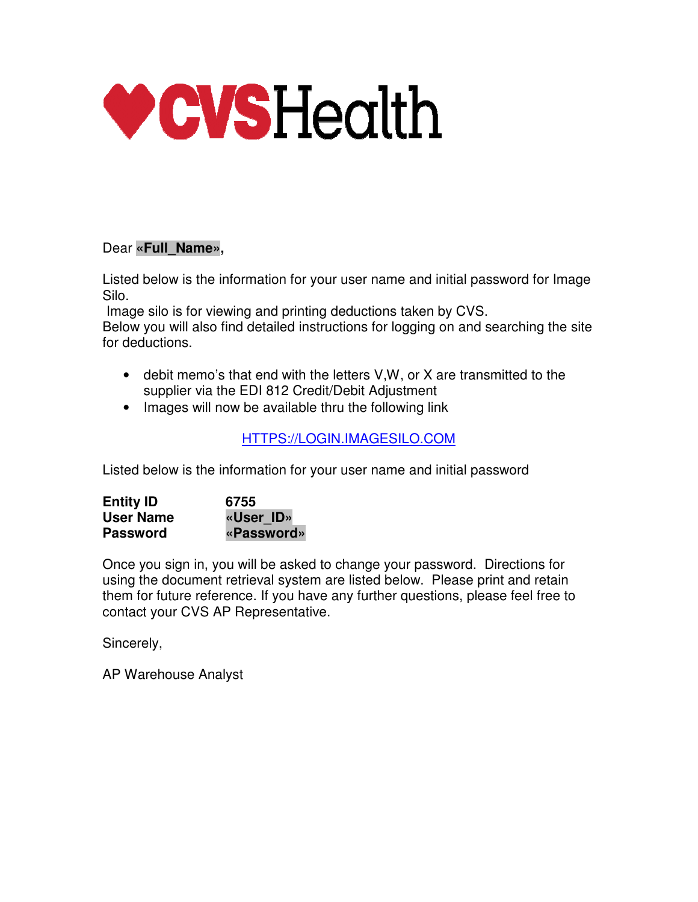

### Dear **«Full\_Name»,**

Listed below is the information for your user name and initial password for Image Silo.

 Image silo is for viewing and printing deductions taken by CVS. Below you will also find detailed instructions for logging on and searching the site for deductions.

- debit memo's that end with the letters V,W, or X are transmitted to the supplier via the EDI 812 Credit/Debit Adjustment
- Images will now be available thru the following link

## HTTPS://LOGIN.IMAGESILO.COM

Listed below is the information for your user name and initial password

| <b>Entity ID</b> | 6755       |
|------------------|------------|
| <b>User Name</b> | «User ID»  |
| <b>Password</b>  | «Password» |

Once you sign in, you will be asked to change your password. Directions for using the document retrieval system are listed below. Please print and retain them for future reference. If you have any further questions, please feel free to contact your CVS AP Representative.

Sincerely,

AP Warehouse Analyst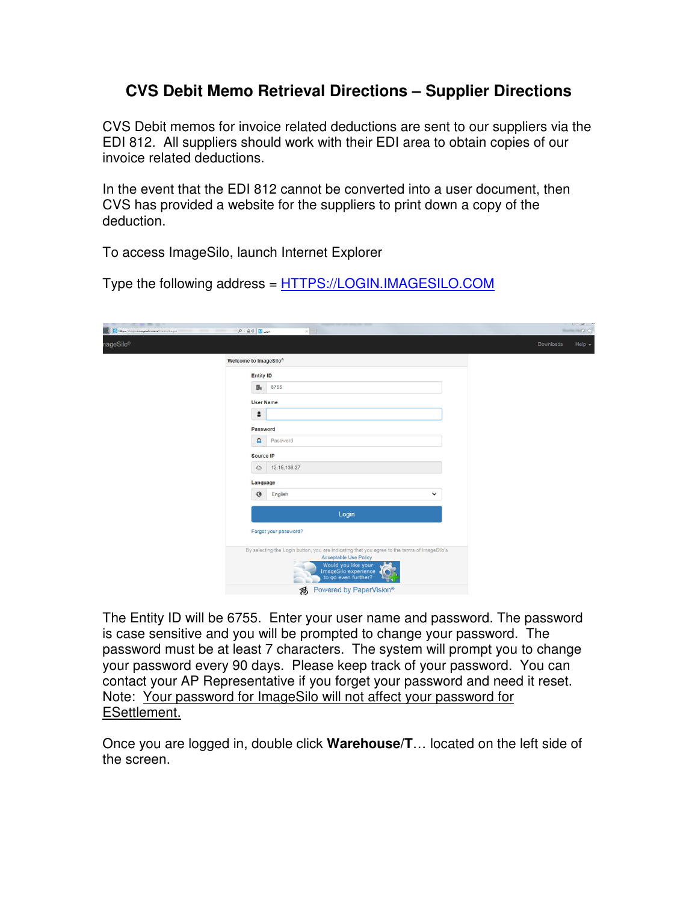## **CVS Debit Memo Retrieval Directions – Supplier Directions**

CVS Debit memos for invoice related deductions are sent to our suppliers via the EDI 812. All suppliers should work with their EDI area to obtain copies of our invoice related deductions.

In the event that the EDI 812 cannot be converted into a user document, then CVS has provided a website for the suppliers to print down a copy of the deduction.

To access ImageSilo, launch Internet Explorer

Type the following address = HTTPS://LOGIN.IMAGESILO.COM

| <b>Sec. 20 Inc.</b><br>https://login.imagesilo.com/Home/Login<br><b>The State</b><br><b>TELEVISION</b> | $P - \triangle C$ $\Box$ Login | $\times$                                                                                                                                                                                           |   |              |           | $\begin{array}{ccc} \rule{0pt}{1.1mm} & \rule{0pt}{1.1mm} & \rule{0pt}{1.1mm} & \rule{0pt}{1.1mm} & \rule{0pt}{1.1mm} & \rule{0pt}{1.1mm} & \rule{0pt}{1.1mm} & \rule{0pt}{1.1mm} & \rule{0pt}{1.1mm} & \rule{0pt}{1.1mm} & \rule{0pt}{1.1mm} & \rule{0pt}{1.1mm} & \rule{0pt}{1.1mm} & \rule{0pt}{1.1mm} & \rule{0pt}{1.1mm} & \rule{0pt}{1.1mm} & \rule{0pt}{1.1mm} & \rule{0pt}{1.1$<br>-- 0次 |
|--------------------------------------------------------------------------------------------------------|--------------------------------|----------------------------------------------------------------------------------------------------------------------------------------------------------------------------------------------------|---|--------------|-----------|--------------------------------------------------------------------------------------------------------------------------------------------------------------------------------------------------------------------------------------------------------------------------------------------------------------------------------------------------------------------------------------------------|
| nageSilo®                                                                                              |                                |                                                                                                                                                                                                    |   |              | Downloads | Help $\sim$                                                                                                                                                                                                                                                                                                                                                                                      |
|                                                                                                        | Welcome to ImageSilo®          |                                                                                                                                                                                                    |   |              |           |                                                                                                                                                                                                                                                                                                                                                                                                  |
|                                                                                                        | <b>Entity ID</b>               |                                                                                                                                                                                                    |   |              |           |                                                                                                                                                                                                                                                                                                                                                                                                  |
|                                                                                                        | B <sub>2</sub>                 | 6755                                                                                                                                                                                               |   |              |           |                                                                                                                                                                                                                                                                                                                                                                                                  |
|                                                                                                        | <b>User Name</b>               |                                                                                                                                                                                                    |   |              |           |                                                                                                                                                                                                                                                                                                                                                                                                  |
|                                                                                                        | $\hat{\mathbf{z}}$             |                                                                                                                                                                                                    |   |              |           |                                                                                                                                                                                                                                                                                                                                                                                                  |
|                                                                                                        | Password                       |                                                                                                                                                                                                    |   |              |           |                                                                                                                                                                                                                                                                                                                                                                                                  |
|                                                                                                        | a                              | Password                                                                                                                                                                                           |   |              |           |                                                                                                                                                                                                                                                                                                                                                                                                  |
|                                                                                                        | Source IP                      |                                                                                                                                                                                                    |   |              |           |                                                                                                                                                                                                                                                                                                                                                                                                  |
|                                                                                                        | $\circlearrowright$            | 12.15.136.27                                                                                                                                                                                       |   |              |           |                                                                                                                                                                                                                                                                                                                                                                                                  |
|                                                                                                        | Language                       |                                                                                                                                                                                                    |   |              |           |                                                                                                                                                                                                                                                                                                                                                                                                  |
|                                                                                                        | $\Theta$                       | English                                                                                                                                                                                            |   | $\checkmark$ |           |                                                                                                                                                                                                                                                                                                                                                                                                  |
|                                                                                                        |                                | Login                                                                                                                                                                                              |   |              |           |                                                                                                                                                                                                                                                                                                                                                                                                  |
|                                                                                                        |                                | Forgot your password?                                                                                                                                                                              |   |              |           |                                                                                                                                                                                                                                                                                                                                                                                                  |
|                                                                                                        |                                | By selecting the Login button, you are indicating that you agree to the terms of ImageSilo's<br><b>Acceptable Use Policy</b><br>Would you like your<br>ImageSilo experience<br>to go even further? | ۰ |              |           |                                                                                                                                                                                                                                                                                                                                                                                                  |
|                                                                                                        |                                | <del>S</del> Powered by PaperVision <sup>®</sup>                                                                                                                                                   |   |              |           |                                                                                                                                                                                                                                                                                                                                                                                                  |

The Entity ID will be 6755. Enter your user name and password. The password is case sensitive and you will be prompted to change your password. The password must be at least 7 characters. The system will prompt you to change your password every 90 days. Please keep track of your password. You can contact your AP Representative if you forget your password and need it reset. Note: Your password for ImageSilo will not affect your password for ESettlement.

Once you are logged in, double click **Warehouse/T**… located on the left side of the screen.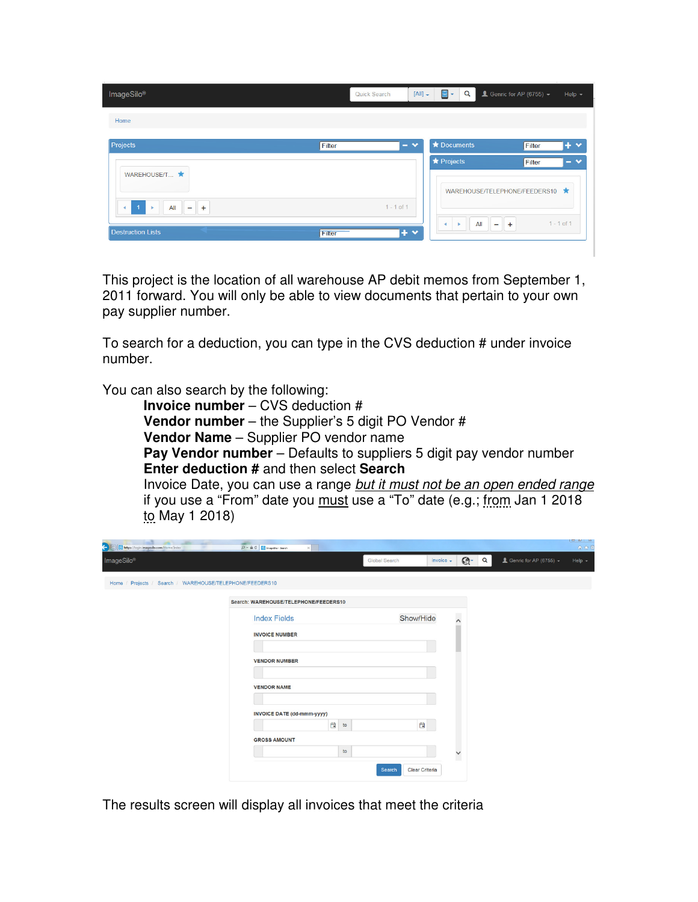| ImageSilo®                              | $[All]$ +<br>Quick Search | 目-<br>Q                                                                 | $\triangle$ Genric for AP (6755) $\sim$ | Help $\sim$  |
|-----------------------------------------|---------------------------|-------------------------------------------------------------------------|-----------------------------------------|--------------|
| Home                                    |                           |                                                                         |                                         |              |
| <b>Projects</b><br>Filter               | $\bullet$<br>-            | <b>*</b> Documents                                                      | Filter                                  | $+$ $\times$ |
| WAREHOUSE/T                             |                           | ★ Projects                                                              | Filter<br>WAREHOUSE/TELEPHONE/FEEDERS10 | $ \vee$      |
| $+$<br>$\blacktriangleleft$<br>All<br>- | $1 - 1$ of 1              | All<br>$\blacktriangleleft$<br>$\mathbf{p}$<br>$\overline{\phantom{0}}$ | $1 - 1$ of 1<br>$+$                     |              |
| <b>Destruction Lists</b><br>Filter      | $+$ $\times$              |                                                                         |                                         |              |

This project is the location of all warehouse AP debit memos from September 1, 2011 forward. You will only be able to view documents that pertain to your own pay supplier number.

To search for a deduction, you can type in the CVS deduction # under invoice number.

You can also search by the following:

**Invoice number** – CVS deduction # **Vendor number** – the Supplier's 5 digit PO Vendor # **Vendor Name** – Supplier PO vendor name **Pay Vendor number** – Defaults to suppliers 5 digit pay vendor number **Enter deduction #** and then select **Search** Invoice Date, you can use a range but it must not be an open ended range if you use a "From" date you must use a "To" date (e.g.; from Jan 1 2018 to May 1 2018)

| <b>CALL AND</b><br>a<br>https://login.imagesilo.com/Home/Index<br>÷ | -<br>$\times$<br>$D = \triangle C$ To ImageSio - Search |           |                          |          |                                         | 命众意      |
|---------------------------------------------------------------------|---------------------------------------------------------|-----------|--------------------------|----------|-----------------------------------------|----------|
| ImageSilo <sup>®</sup>                                              | Global Search                                           | invoice - | $\mathbb{G}$             | $\alpha$ | $\triangle$ Genric for AP (6755) $\sim$ | $Help -$ |
| Home / Projects / Search / WAREHOUSE/TELEPHONE/FEEDERS10            |                                                         |           |                          |          |                                         |          |
|                                                                     | Search: WAREHOUSE/TELEPHONE/FEEDERS10                   |           |                          |          |                                         |          |
|                                                                     | Show/Hide<br><b>Index Fields</b>                        |           | $\overline{\phantom{a}}$ |          |                                         |          |
|                                                                     | <b>INVOICE NUMBER</b>                                   |           |                          |          |                                         |          |
|                                                                     | <b>VENDOR NUMBER</b>                                    |           |                          |          |                                         |          |
|                                                                     | <b>VENDOR NAME</b>                                      |           |                          |          |                                         |          |
|                                                                     | <b>INVOICE DATE (dd-mmm-yyyy)</b>                       |           |                          |          |                                         |          |
|                                                                     | 白<br>自<br>to<br><b>GROSS AMOUNT</b>                     |           |                          |          |                                         |          |
|                                                                     | to                                                      |           | $\check{ }$              |          |                                         |          |
|                                                                     | Clear Criteria<br>Search                                |           |                          |          |                                         |          |

The results screen will display all invoices that meet the criteria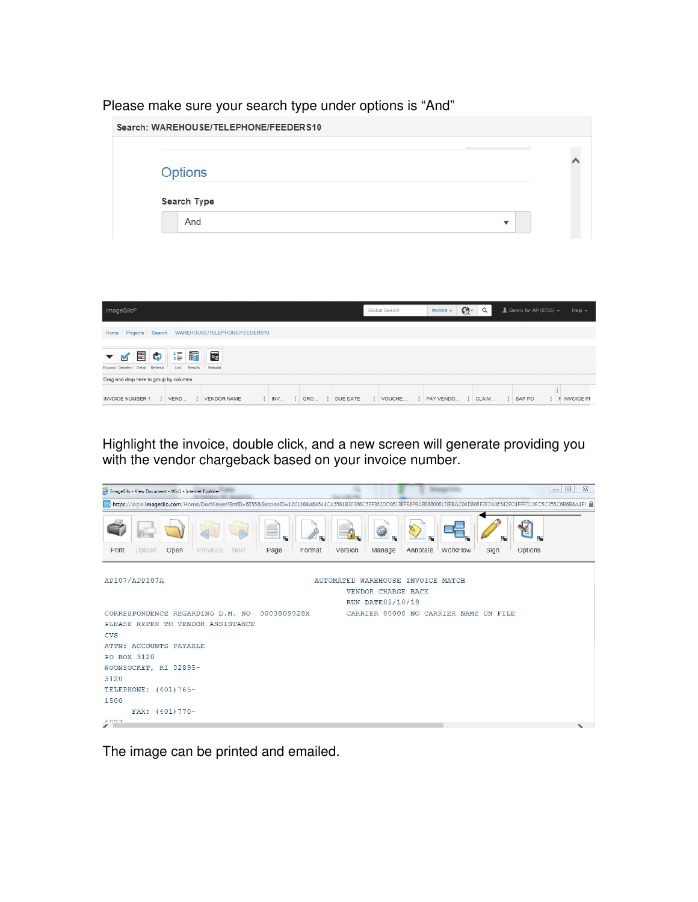#### Please make sure your search type under options is "And"

|                                          |                             | Search: WAREHOUSE/TELEPHONE/FEEDERS10                    |                   |                  |               |                     |                     |                                 |                     |
|------------------------------------------|-----------------------------|----------------------------------------------------------|-------------------|------------------|---------------|---------------------|---------------------|---------------------------------|---------------------|
|                                          | <b>Options</b>              |                                                          |                   |                  |               |                     |                     |                                 |                     |
|                                          | <b>Search Type</b>          |                                                          |                   |                  |               |                     |                     |                                 |                     |
|                                          | And                         |                                                          |                   |                  |               |                     |                     | ▼                               |                     |
|                                          |                             |                                                          |                   |                  |               |                     |                     |                                 |                     |
|                                          |                             |                                                          |                   |                  |               |                     |                     |                                 |                     |
|                                          |                             |                                                          |                   |                  |               |                     |                     |                                 |                     |
| ImageSilo®                               |                             |                                                          |                   |                  | Global Search | invoice $\sim$      | $\mathbb{C}$ .<br>Q | <u>■</u> Genric for AP (6755) – | Help $\sim$         |
|                                          |                             | Home / Projects / Search / WAREHOUSE/TELEPHONE/FEEDERS10 |                   |                  |               |                     |                     |                                 |                     |
| 畐<br>Þ<br>Expand Deselect Detail Refresh | ië.<br>疆<br>List<br>Results | $\overline{A}$<br>Rebuild                                |                   |                  |               |                     |                     |                                 |                     |
| Drag and drop here to group by columns   |                             |                                                          |                   |                  |               |                     |                     |                                 | ŧ                   |
| <b>INVOICE NUMBER 1</b>                  | $\vdots$ VEND               | : VENDOR NAME                                            | $\frac{1}{2}$ INV | : GRO : DUE DATE | : VOUCHE      | : PAY VENDO : CLAIM |                     | : SAP PO                        | <b>F</b> INVOICE PF |

Highlight the invoice, double click, and a new screen will generate providing you with the vendor chargeback based on your invoice number.

| ImageSilo - View Document - Win1 - Internet Explorer                                                                                                                 |                                                           |                                           | $\Box$ $\Box$<br>$\Sigma$ |
|----------------------------------------------------------------------------------------------------------------------------------------------------------------------|-----------------------------------------------------------|-------------------------------------------|---------------------------|
| bttps://login.imagesilo.com/Home/DocViewer?EntID=6755&SessionID=12C1104A64644CA5561B30386C53F362DD0613EFB8F9AB8880081DBBAC04D808F28D446542EC4FFFD108D5C255C6B6B8A4FE |                                                           |                                           |                           |
| N<br>Upload<br>Open<br>Previous<br><b>Next</b><br>Page<br>Print                                                                                                      | <b>CONTRACT</b><br>π<br>П.<br>Format<br>Version<br>Manage | 57<br><b>WorkFlow</b><br>Sign<br>Annotate | N<br>N<br><b>Options</b>  |
| AP107/APP107A                                                                                                                                                        | AUTOMATED WAREHOUSE INVOICE MATCH                         |                                           |                           |
|                                                                                                                                                                      | VENDOR CHARGE BACK                                        |                                           |                           |
|                                                                                                                                                                      | <b>RUN DATE02/10/18</b>                                   |                                           |                           |
| CORRESPONDENCE REGARDING D.M. NO<br>0003809028X                                                                                                                      |                                                           | CARRIER 00000 NO CARRIER NAME ON FILE     |                           |
| PLEASE REFER TO VENDOR ASSISTANCE                                                                                                                                    |                                                           |                                           |                           |
| <b>CVS</b>                                                                                                                                                           |                                                           |                                           |                           |
| ATTN: ACCOUNTS PAYABLE                                                                                                                                               |                                                           |                                           |                           |
| PO BOX 3120                                                                                                                                                          |                                                           |                                           |                           |
| WOONSOCKET, RI 02895-                                                                                                                                                |                                                           |                                           |                           |
| 3120                                                                                                                                                                 |                                                           |                                           |                           |
| TELEPHONE: (401)765-                                                                                                                                                 |                                                           |                                           |                           |
| 1500                                                                                                                                                                 |                                                           |                                           |                           |
| FAX: (401) 770-                                                                                                                                                      |                                                           |                                           |                           |
| 6022                                                                                                                                                                 |                                                           |                                           |                           |
| $\overline{\mathscr{L}}$                                                                                                                                             |                                                           |                                           | $\overline{\phantom{a}}$  |

The image can be printed and emailed.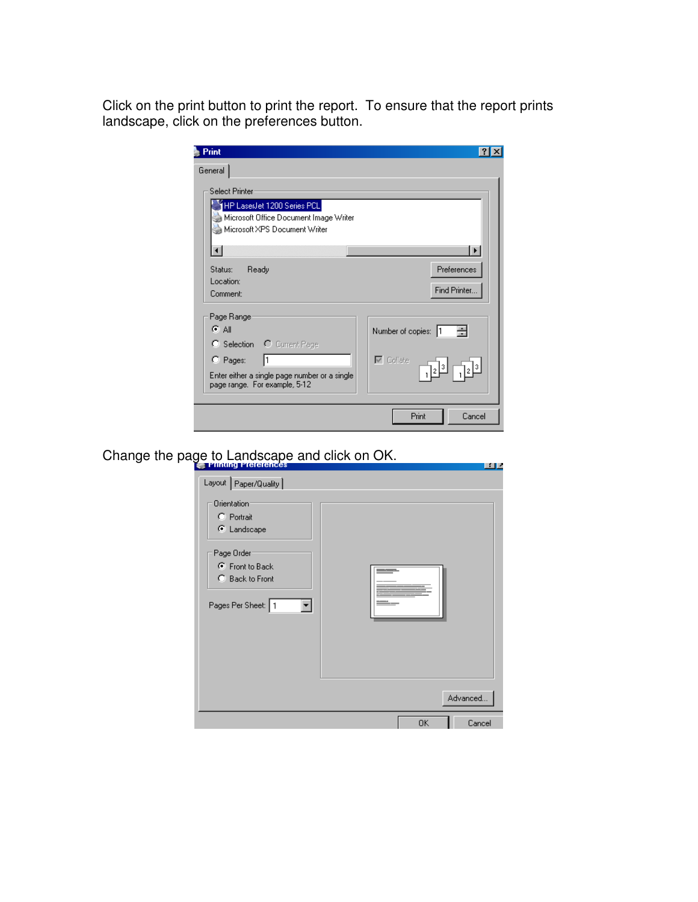Click on the print button to print the report. To ensure that the report prints landscape, click on the preferences button.

| Print                                                                                                                                           |                                                                |
|-------------------------------------------------------------------------------------------------------------------------------------------------|----------------------------------------------------------------|
| General                                                                                                                                         |                                                                |
| <b>Select Printer</b><br>HP LaserJet 1200 Series PCL<br>Microsoft Office Document Image Writer<br>Microsoft XPS Document Writer                 |                                                                |
|                                                                                                                                                 | О                                                              |
| Ready<br>Status:<br>Location:<br>Comment:                                                                                                       | Preferences<br>Find Printer                                    |
| Page Range:<br>医副<br>C Selection C Current Page<br>$C$ Pages:<br>Enter either a single page number or a single<br>page range. For example, 5-12 | Number of copies:<br>$\overline{\triangledown}$ Collate<br>[3] |
|                                                                                                                                                 | Print<br>Cancel                                                |

# Change the page to Landscape and click on OK.

| Financy Preferences<br>ŕă                                                                                                         |              |
|-----------------------------------------------------------------------------------------------------------------------------------|--------------|
| Layout   Paper/Quality                                                                                                            |              |
| <b>Orientation</b><br>C Portrait<br>C Landscape<br>Page Order:<br><b>C</b> Front to Back<br>C Back to Front<br>Pages Per Sheet: 1 |              |
|                                                                                                                                   | Advanced     |
|                                                                                                                                   | 0K<br>Cancel |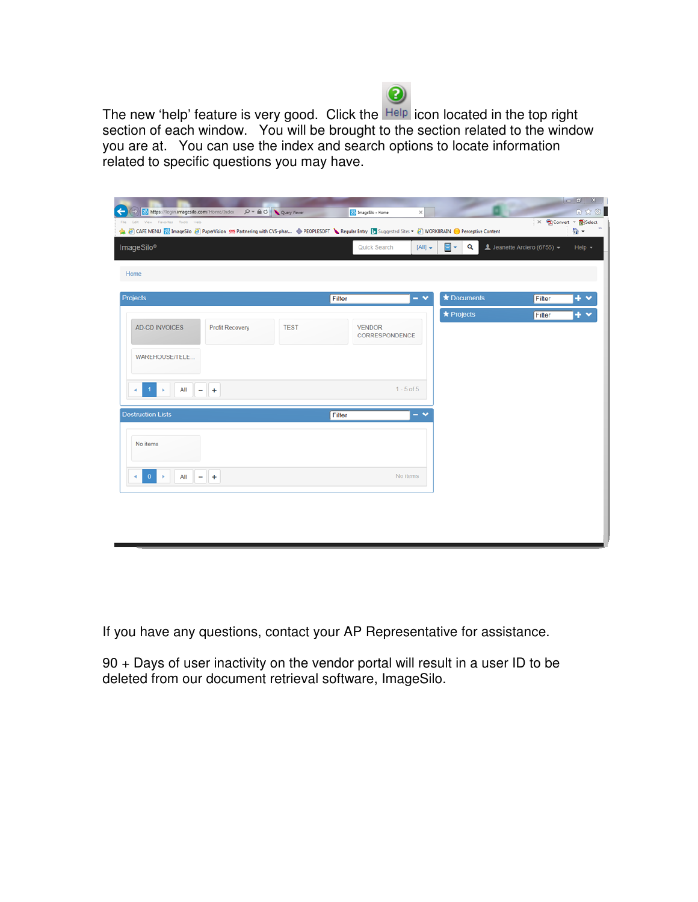

The new 'help' feature is very good. Click the Help icon located in the top right section of each window. You will be brought to the section related to the window you are at. You can use the index and search options to locate information related to specific questions you may have.

| https://login.imagesilo.com/Home/Index   |                 | $P = \triangle$ O $\sqrt{Q}$ Query Viewer | imageSlo - Home                                                                                                                                     | $\mathbf{X}$   |                                  |                                                              | $\begin{array}{c c c c c} \hline \multicolumn{3}{c }{\textbf{}} & \multicolumn{3}{c }{\textbf{}}\\ \hline \multicolumn{3}{c }{\textbf{}} & \multicolumn{3}{c }{\textbf{}} & \multicolumn{3}{c }{\textbf{}}\\ \hline \multicolumn{3}{c }{\textbf{}} & \multicolumn{3}{c }{\textbf{}} & \multicolumn{3}{c }{\textbf{}}\\ \hline \multicolumn{3}{c }{\textbf{}} & \multicolumn{3}{c }{\textbf{}} & \multicolumn{3}{c }{\textbf{}}\\ \hline \multic$<br>☆☆ 3 |
|------------------------------------------|-----------------|-------------------------------------------|-----------------------------------------------------------------------------------------------------------------------------------------------------|----------------|----------------------------------|--------------------------------------------------------------|----------------------------------------------------------------------------------------------------------------------------------------------------------------------------------------------------------------------------------------------------------------------------------------------------------------------------------------------------------------------------------------------------------------------------------------------------------|
| Edit View Favorites Tools Help           |                 |                                           | B CAFE MENU a ImageSilo 8 PaperVision 92 Partnering with CVS-phar + PEOPLESOFT Regular Entry [5] Suggested Sites + 8 WORKBRAIN + Perceptive Content |                |                                  | $X = \frac{1}{2}$ Convert $\rightarrow$ $\frac{1}{2}$ Select | 合·                                                                                                                                                                                                                                                                                                                                                                                                                                                       |
| ImageSilo®                               |                 |                                           | Quick Search                                                                                                                                        | $[All]$ $\sim$ | $\blacksquare$ -<br>$\mathbf{Q}$ | L Jeanette Arciero (6755) -                                  | $Help -$                                                                                                                                                                                                                                                                                                                                                                                                                                                 |
| Home                                     |                 |                                           |                                                                                                                                                     |                |                                  |                                                              |                                                                                                                                                                                                                                                                                                                                                                                                                                                          |
| Projects                                 |                 |                                           | Filter                                                                                                                                              | $-49$          | <b>*</b> Documents               | Filter                                                       | $+$ $\vee$                                                                                                                                                                                                                                                                                                                                                                                                                                               |
|                                          |                 |                                           |                                                                                                                                                     |                | * Projects                       | Filter                                                       | $+$ $\times$                                                                                                                                                                                                                                                                                                                                                                                                                                             |
| AD-CD INVOICES                           | Profit Recovery | <b>TEST</b>                               | <b>VENDOR</b><br>CORRESPONDENCE                                                                                                                     |                |                                  |                                                              |                                                                                                                                                                                                                                                                                                                                                                                                                                                          |
| WAREHOUSE/TELE                           |                 |                                           |                                                                                                                                                     |                |                                  |                                                              |                                                                                                                                                                                                                                                                                                                                                                                                                                                          |
|                                          |                 |                                           |                                                                                                                                                     |                |                                  |                                                              |                                                                                                                                                                                                                                                                                                                                                                                                                                                          |
| All<br>÷                                 | $\ddot{}$       |                                           |                                                                                                                                                     | $1 - 5$ of $5$ |                                  |                                                              |                                                                                                                                                                                                                                                                                                                                                                                                                                                          |
| <b>Destruction Lists</b>                 |                 |                                           | Filter                                                                                                                                              | $=$ $\vee$     |                                  |                                                              |                                                                                                                                                                                                                                                                                                                                                                                                                                                          |
| No items                                 |                 |                                           |                                                                                                                                                     |                |                                  |                                                              |                                                                                                                                                                                                                                                                                                                                                                                                                                                          |
|                                          |                 |                                           |                                                                                                                                                     |                |                                  |                                                              |                                                                                                                                                                                                                                                                                                                                                                                                                                                          |
|                                          |                 |                                           |                                                                                                                                                     | No items       |                                  |                                                              |                                                                                                                                                                                                                                                                                                                                                                                                                                                          |
| $\vert 0 \rangle$<br>All $ +$<br>4<br>×. |                 |                                           |                                                                                                                                                     |                |                                  |                                                              |                                                                                                                                                                                                                                                                                                                                                                                                                                                          |

If you have any questions, contact your AP Representative for assistance.

90 + Days of user inactivity on the vendor portal will result in a user ID to be deleted from our document retrieval software, ImageSilo.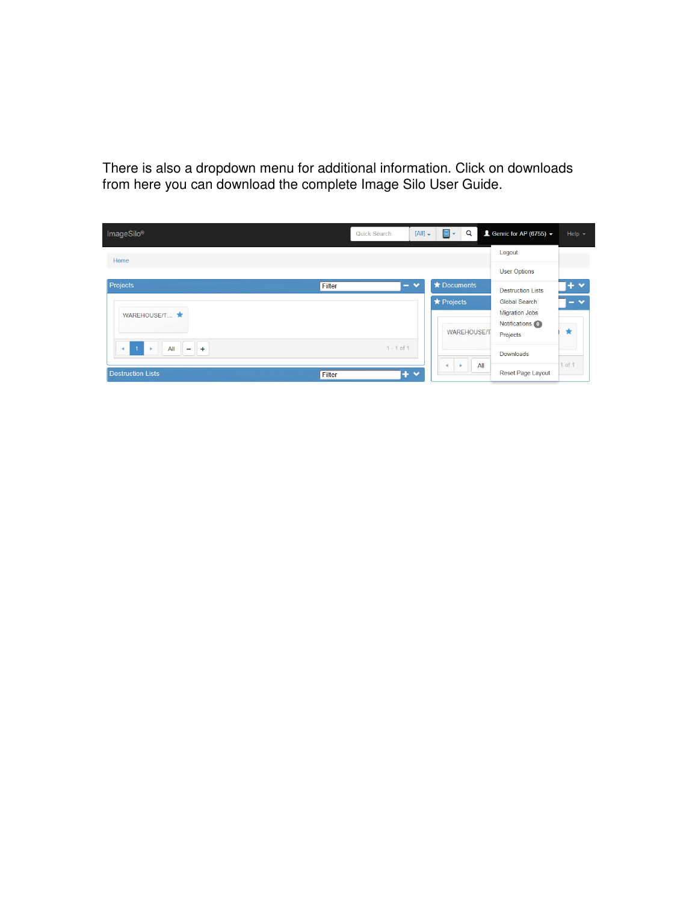There is also a dropdown menu for additional information. Click on downloads from here you can download the complete Image Silo User Guide.